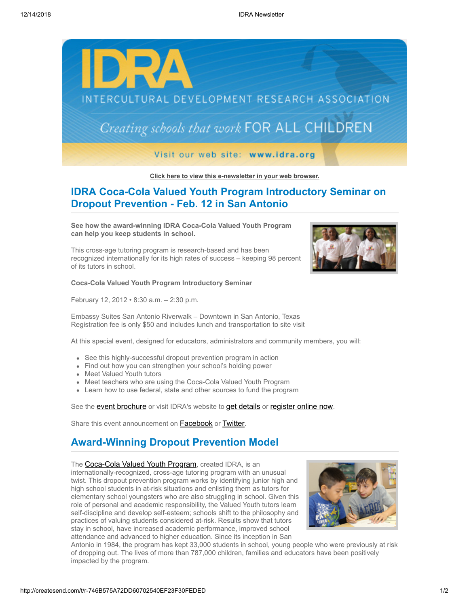

**[Click here to view this e-newsletter in your web browser.](http://newsletter.impulsedevelopment.com/t/r-e-pqzdd-l-r/)**

# **IDRA Coca-Cola Valued Youth Program Introductory Seminar on Dropout Prevention - Feb. 12 in San Antonio**

**See how the award-winning IDRA Coca-Cola Valued Youth Program can help you keep students in school.**

This cross-age tutoring program is research-based and has been recognized internationally for its high rates of success – keeping 98 percent of its tutors in school.

#### **Coca-Cola Valued Youth Program Introductory Seminar**

February 12, 2012 • 8:30 a.m. – 2:30 p.m.

Embassy Suites San Antonio Riverwalk – Downtown in San Antonio, Texas Registration fee is only \$50 and includes lunch and transportation to site visit

At this special event, designed for educators, administrators and community members, you will:

- See this highly-successful dropout prevention program in action
- Find out how you can strengthen your school's holding power
- Meet Valued Youth tutors
- Meet teachers who are using the Coca-Cola Valued Youth Program
- Learn how to use federal, state and other sources to fund the program

See the **[event brochure](http://idra.createsend1.com/t/r-l-pqzdd-l-i/)** or visit IDRA's website to **[get details](http://idra.createsend1.com/t/r-l-pqzdd-l-d/)** or **[register online now](http://idra.createsend1.com/t/r-l-pqzdd-l-o/)**.

Share this event announcement on **[Facebook](http://createsend.com/t/r-fb-pqzdd-l-c/?act=wv)** or **[Twitter](http://idra.createsend1.com/t/r-tw-pqzdd-l-f/)**.

## **Award-Winning Dropout Prevention Model**

The **[Coca-Cola Valued Youth Program](http://idra.createsend1.com/t/r-l-pqzdd-l-b/)**, created IDRA, is an internationally-recognized, cross-age tutoring program with an unusual twist. This dropout prevention program works by identifying junior high and high school students in at-risk situations and enlisting them as tutors for elementary school youngsters who are also struggling in school. Given this role of personal and academic responsibility, the Valued Youth tutors learn self-discipline and develop self-esteem; schools shift to the philosophy and practices of valuing students considered at-risk. Results show that tutors stay in school, have increased academic performance, improved school attendance and advanced to higher education. Since its inception in San



Antonio in 1984, the program has kept 33,000 students in school, young people who were previously at risk of dropping out. The lives of more than 787,000 children, families and educators have been positively impacted by the program.